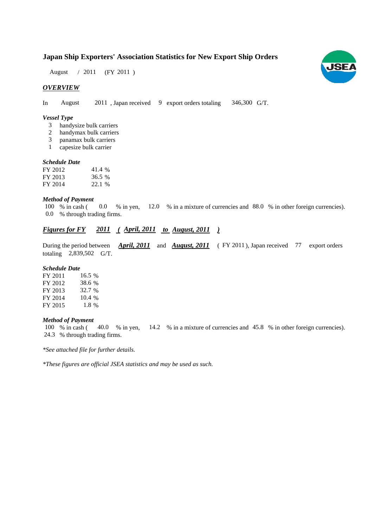## **Japan Ship Exporters' Association Statistics for New Export Ship Orders**

August / 2011 (FY 2011)

## *OVERVIEW*

In August 2011, Japan received 9 export orders totaling 346,300 G/T. 346,300 G/T.

#### *Vessel Type*

- handysize bulk carriers 3
- handymax bulk carriers 2
- panamax bulk carriers 3
- capesize bulk carrier 1

#### *Schedule Date Schedule*

| FY 2012 | 41.4 % |
|---------|--------|
| FY 2013 | 36.5 % |
| FY 2014 | 22.1 % |

## *Method of Payment*

% in cash ( $\ 0.0$  % in yen,  $12.0$  % in a mixture of currencies and 88.0 % in other foreign currencies). 0.0 % through trading firms. 100 % in cash (

## *Figures for FY* 2011 (*April, 2011 to August, 2011* )

During the period between *April, 2011* and *August, 2011* (FY 2011), Japan received 77 export orders totaling  $2,839,502$  G/T.

#### *Schedule Date*

| FY 2011 | 16.5 %  |
|---------|---------|
| FY 2012 | 38.6 %  |
| FY 2013 | 32.7 %  |
| FY 2014 | 10.4 %  |
| FY 2015 | $1.8\%$ |

#### *Method of Payment*

100 % in cash ( $\frac{40.0 \times 10^{18}}{200 \times 10^{18}}$  m in  $\frac{14.2 \times 10^{14}}{200 \times 10^{14}}$  m in  $\frac{45.8 \times 10^{14}}{200 \times 10^{14}}$  m other foreign currencies). % through trading firms. 24.3

*\*See attached file for further details.*

*\*These figures are official JSEA statistics and may be used as such.*

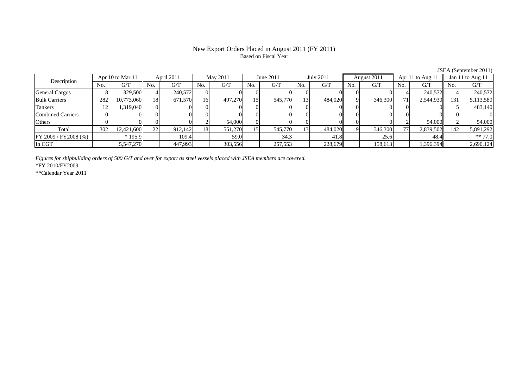## New Export Orders Placed in August 2011 (FY 2011) Based on Fiscal Year

No. G/T No. G/T No. G/T No. G/T No. G/T No. G/T No. G/T No. G/T $G/T$ General Cargos | 8| 329,500|| 4| 240,572|| 0| 0| 0| 0| 0| 0| 0| 0| 0| 0| 0| 4| 240,572|| 4| 240,572 Bulk Carriers | 282 10,773,060 18 671,570 16 497,270 15 545,770 13 484,020 9 346,300 71 2,544,930 131 5,113,580 Tankers 12 1,319,040 0 0 0 0 0 0 0 0 0 0 0 0 5 483,140 Combined Carriers 0 0 0 0 0 0 0 0 0 0 0 0 0 0 0 0Others | 0 | 0 | 0 | 2 | 54,000 | 0 | 0 | 0 | 0 | 0 | 2 | 54,000 | 2 | Total 302 12,421,600 22 912,142 18 551,270 15 545,770 13 484,020 9 346,300 77 2,839,502 142 5,891,292 FY 2009 / FY 2008 (%) | \* 195.9 | 109.4 | 59.0 | 34.3 | 41.8 | 25.6 | 48.4 | \*\* 77.0 In CGT | | 5,547,270 | | 447,993 | | 303,556 | | 257,553 | | 228,679 | | 158,613 | | 1,396,394 | | 2,690,124 Description April 2011 May 2011 June 2011<br>No. 1 G/T No. 1 G/T No. 1 G/T No. 1 G/T No. 1 G/T July 2011 August 2011 Apr 11 to Aug 11 Jan 11 to Aug 11

*Figures for shipbuilding orders of 500 G/T and over for export as steel vessels placed with JSEA members are covered.*

\*FY 2010/FY2009

\*\*Calendar Year 2011

JSEA (September 2011)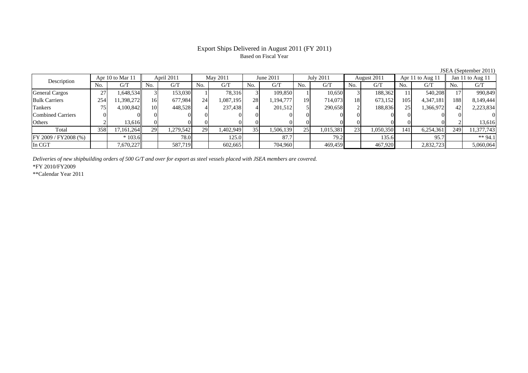## Export Ships Delivered in August 2011 (FY 2011) Based on Fiscal Year

JSEA (September 2011)<br> $\vert \vert$  Jan 11 to Aug 11 No. G/T No. G/T No. G/T No. G/T No. G/T No. G/T No. G/T No. G/T $\mathrm{G}/\mathrm{T}$ General Cargos ( 27 1,648,534 3 153,030 1 78,316 3 109,850 1 10,650 3 188,362 11 540,208 17 990,849 Bulk Carriers 254 11,398,272 16 677,984 24 1,087,195 28 1,194,777 19 714,073 18 673,152 105 4,347,181 188 8,149,444 Tankers | 75 | 4,100,842|| 10| 448,528 | 4| 237,438 | 4| 201,512 | 5| 290,658**|** 2| 188,836| 25| 1,366,972|| 42| 2,223,834 Combined Carriers 0 0 0 0 0 0 0 0 0 0 0 0 0 0 0 0Others | 2 | 13,616 || 0 | 0 | 0 | 0 | 0 | 0 | 0 | 0 | 0 | 0 | 2 | 13,616 Total 358 17,161,264 29 1,279,542 29 1,402,949 35 1,506,139 25 1,015,381 23 1,050,350 141 6,254,361 249 11,377,743 |FY 2009 / FY2008 (%) | | \* 103.6 | 78.0 | 125.0 | 87.7 | 79.2 | 135.6 | 95.7 | \*\* 94.1 In CGT | | 7,670,227 || | 587,719 | | 602,665 | | 704,960 | | 469,459 | | 467,920 | | 2,832,723 | | 5,060,064 Apr 10 to Mar 11 April 2011 May 2011 June 2011 Description July 2011 August 2011 Apr 11 to Aug 11

*Deliveries of new shipbuilding orders of 500 G/T and over for export as steel vessels placed with JSEA members are covered.*

\*FY 2010/FY2009

\*\*Calendar Year 2011